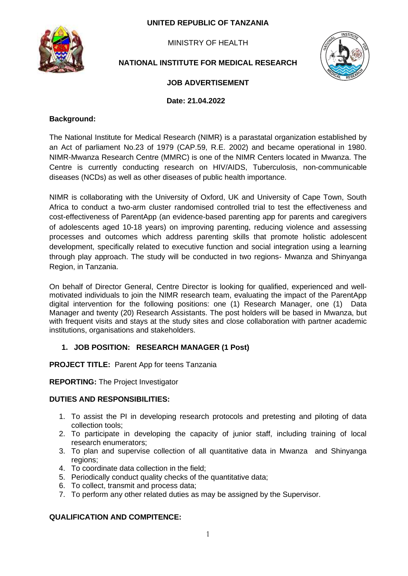### **UNITED REPUBLIC OF TANZANIA**



MINISTRY OF HEALTH

# **NATIONAL INSTITUTE FOR MEDICAL RESEARCH**



# **JOB ADVERTISEMENT**

 **Date: 21.04.2022**

#### **Background:**

The National Institute for Medical Research (NIMR) is a parastatal organization established by an Act of parliament No.23 of 1979 (CAP.59, R.E. 2002) and became operational in 1980. NIMR-Mwanza Research Centre (MMRC) is one of the NIMR Centers located in Mwanza. The Centre is currently conducting research on HIV/AIDS, Tuberculosis, non-communicable diseases (NCDs) as well as other diseases of public health importance.

NIMR is collaborating with the University of Oxford, UK and University of Cape Town, South Africa to conduct a two-arm cluster randomised controlled trial to test the effectiveness and cost-effectiveness of ParentApp (an evidence-based parenting app for parents and caregivers of adolescents aged 10-18 years) on improving parenting, reducing violence and assessing processes and outcomes which address parenting skills that promote holistic adolescent development, specifically related to executive function and social integration using a learning through play approach. The study will be conducted in two regions- Mwanza and Shinyanga Region, in Tanzania.

On behalf of Director General, Centre Director is looking for qualified, experienced and wellmotivated individuals to join the NIMR research team, evaluating the impact of the ParentApp digital intervention for the following positions: one (1) Research Manager, one (1) Data Manager and twenty (20) Research Assistants. The post holders will be based in Mwanza, but with frequent visits and stays at the study sites and close collaboration with partner academic institutions, organisations and stakeholders.

### **1. JOB POSITION: RESEARCH MANAGER (1 Post)**

**PROJECT TITLE:** Parent App for teens Tanzania

**REPORTING:** The Project Investigator

#### **DUTIES AND RESPONSIBILITIES:**

- 1. To assist the PI in developing research protocols and pretesting and piloting of data collection tools;
- 2. To participate in developing the capacity of junior staff, including training of local research enumerators;
- 3. To plan and supervise collection of all quantitative data in Mwanza and Shinyanga regions;
- 4. To coordinate data collection in the field;
- 5. Periodically conduct quality checks of the quantitative data;
- 6. To collect, transmit and process data;
- 7. To perform any other related duties as may be assigned by the Supervisor.

### **QUALIFICATION AND COMPITENCE:**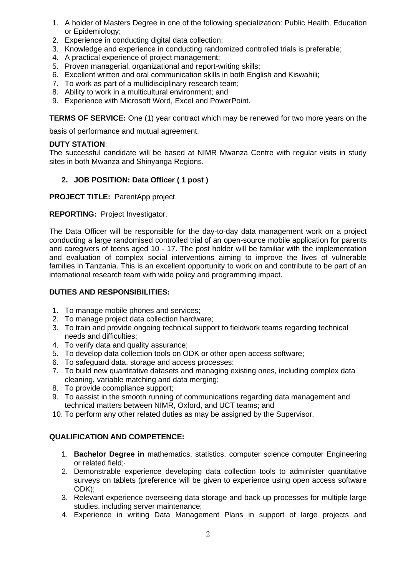- 1. A holder of Masters Degree in one of the following specialization: Public Health, Education or Epidemiology;
- 2. Experience in conducting digital data collection;
- 3. Knowledge and experience in conducting randomized controlled trials is preferable;
- 4. A practical experience of project management;
- 5. Proven managerial, organizational and report-writing skills;
- 6. Excellent written and oral communication skills in both English and Kiswahili;
- 7. To work as part of a multidisciplinary research team;
- 8. Ability to work in a multicultural environment; and
- 9. Experience with Microsoft Word, Excel and PowerPoint.

**TERMS OF SERVICE:** One (1) year contract which may be renewed for two more years on the

basis of performance and mutual agreement.

#### **DUTY STATION**:

The successful candidate will be based at NIMR Mwanza Centre with regular visits in study sites in both Mwanza and Shinyanga Regions.

# **2. JOB POSITION: Data Officer ( 1 post )**

**PROJECT TITLE:** ParentApp project.

**REPORTING:** Project Investigator.

The Data Officer will be responsible for the day-to-day data management work on a project conducting a large randomised controlled trial of an open-source mobile application for parents and caregivers of teens aged 10 - 17. The post holder will be familiar with the implementation and evaluation of complex social interventions aiming to improve the lives of vulnerable families in Tanzania. This is an excellent opportunity to work on and contribute to be part of an international research team with wide policy and programming impact.

### **DUTIES AND RESPONSIBILITIES:**

- 1. To manage mobile phones and services;
- 2. To manage project data collection hardware;
- 3. To train and provide ongoing technical support to fieldwork teams regarding technical needs and difficulties;
- 4. To verify data and quality assurance;
- 5. To develop data collection tools on ODK or other open access software;
- 6. To safeguard data, storage and access processes:
- 7. To build new quantitative datasets and managing existing ones, including complex data cleaning, variable matching and data merging;
- 8. To provide ccompliance support;
- 9. To aassist in the smooth running of communications regarding data management and technical matters between NIMR, Oxford, and UCT teams; and
- 10. To perform any other related duties as may be assigned by the Supervisor.

### **QUALIFICATION AND COMPETENCE:**

- 1. **Bachelor Degree in** mathematics, statistics, computer science computer Engineering or related field;·
- 2. Demonstrable experience developing data collection tools to administer quantitative surveys on tablets (preference will be given to experience using open access software ODK);
- 3. Relevant experience overseeing data storage and back-up processes for multiple large studies, including server maintenance;
- 4. Experience in writing Data Management Plans in support of large projects and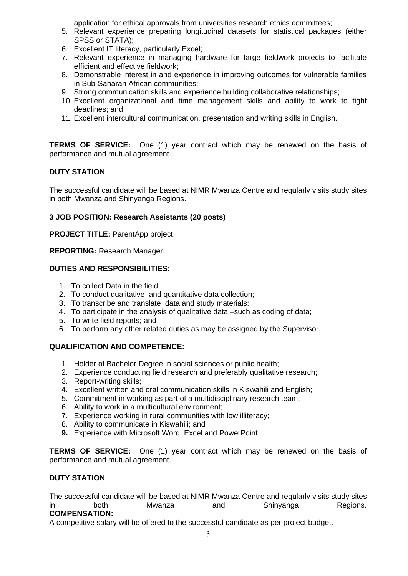application for ethical approvals from universities research ethics committees;

- 5. Relevant experience preparing longitudinal datasets for statistical packages (either SPSS or STATA);
- 6. Excellent IT literacy, particularly Excel;
- 7. Relevant experience in managing hardware for large fieldwork projects to facilitate efficient and effective fieldwork;
- 8. Demonstrable interest in and experience in improving outcomes for vulnerable families in Sub-Saharan African communities;
- 9. Strong communication skills and experience building collaborative relationships;
- 10. Excellent organizational and time management skills and ability to work to tight deadlines; and
- 11. Excellent intercultural communication, presentation and writing skills in English.

**TERMS OF SERVICE:** One (1) year contract which may be renewed on the basis of performance and mutual agreement.

# **DUTY STATION**:

The successful candidate will be based at NIMR Mwanza Centre and regularly visits study sites in both Mwanza and Shinyanga Regions.

# **3 JOB POSITION: Research Assistants (20 posts)**

**PROJECT TITLE:** ParentApp project.

**REPORTING:** Research Manager.

### **DUTIES AND RESPONSIBILITIES:**

- 1. To collect Data in the field;
- 2. To conduct qualitative and quantitative data collection;
- 3. To transcribe and translate data and study materials;
- 4. To participate in the analysis of qualitative data –such as coding of data;
- 5. To write field reports; and
- 6. To perform any other related duties as may be assigned by the Supervisor.

### **QUALIFICATION AND COMPETENCE:**

- 1. Holder of Bachelor Degree in social sciences or public health;
- 2. Experience conducting field research and preferably qualitative research;
- 3. Report-writing skills;
- 4. Excellent written and oral communication skills in Kiswahili and English;
- 5. Commitment in working as part of a multidisciplinary research team;
- 6. Ability to work in a multicultural environment;
- 7. Experience working in rural communities with low illiteracy;
- 8. Ability to communicate in Kiswahili; and
- **9.** Experience with Microsoft Word, Excel and PowerPoint.

**TERMS OF SERVICE:** One (1) year contract which may be renewed on the basis of performance and mutual agreement.

### **DUTY STATION**:

The successful candidate will be based at NIMR Mwanza Centre and regularly visits study sites in both Mwanza and Shinyanga Regions.

# **COMPENSATION:**

A competitive salary will be offered to the successful candidate as per project budget.